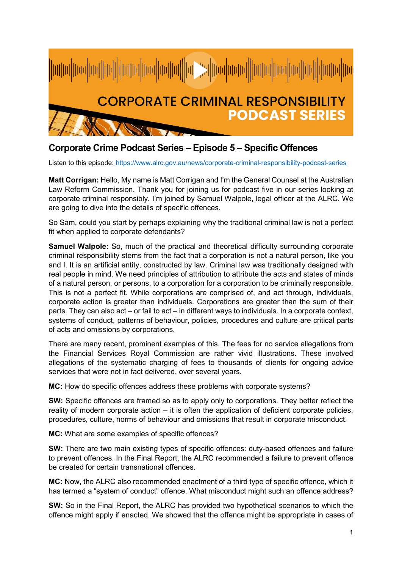

## **Corporate Crime Podcast Series – Episode 5 – Specific Offences**

Listen to this episode:<https://www.alrc.gov.au/news/corporate-criminal-responsibility-podcast-series>

**Matt Corrigan:** Hello, My name is Matt Corrigan and I'm the General Counsel at the Australian Law Reform Commission. Thank you for joining us for podcast five in our series looking at corporate criminal responsibly. I'm joined by Samuel Walpole, legal officer at the ALRC. We are going to dive into the details of specific offences.

So Sam, could you start by perhaps explaining why the traditional criminal law is not a perfect fit when applied to corporate defendants?

**Samuel Walpole:** So, much of the practical and theoretical difficulty surrounding corporate criminal responsibility stems from the fact that a corporation is not a natural person, like you and I. It is an artificial entity, constructed by law. Criminal law was traditionally designed with real people in mind. We need principles of attribution to attribute the acts and states of minds of a natural person, or persons, to a corporation for a corporation to be criminally responsible. This is not a perfect fit. While corporations are comprised of, and act through, individuals, corporate action is greater than individuals. Corporations are greater than the sum of their parts. They can also act – or fail to act – in different ways to individuals. In a corporate context, systems of conduct, patterns of behaviour, policies, procedures and culture are critical parts of acts and omissions by corporations.

There are many recent, prominent examples of this. The fees for no service allegations from the Financial Services Royal Commission are rather vivid illustrations. These involved allegations of the systematic charging of fees to thousands of clients for ongoing advice services that were not in fact delivered, over several years.

**MC:** How do specific offences address these problems with corporate systems?

**SW:** Specific offences are framed so as to apply only to corporations. They better reflect the reality of modern corporate action – it is often the application of deficient corporate policies, procedures, culture, norms of behaviour and omissions that result in corporate misconduct.

**MC:** What are some examples of specific offences?

**SW:** There are two main existing types of specific offences: duty-based offences and failure to prevent offences. In the Final Report, the ALRC recommended a failure to prevent offence be created for certain transnational offences.

**MC:** Now, the ALRC also recommended enactment of a third type of specific offence, which it has termed a "system of conduct" offence. What misconduct might such an offence address?

**SW:** So in the Final Report, the ALRC has provided two hypothetical scenarios to which the offence might apply if enacted. We showed that the offence might be appropriate in cases of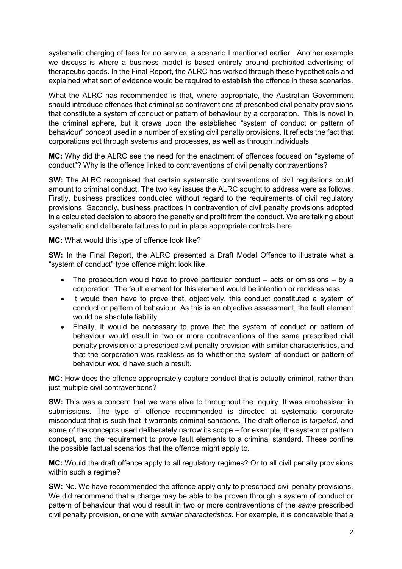systematic charging of fees for no service, a scenario I mentioned earlier. Another example we discuss is where a business model is based entirely around prohibited advertising of therapeutic goods. In the Final Report, the ALRC has worked through these hypotheticals and explained what sort of evidence would be required to establish the offence in these scenarios.

What the ALRC has recommended is that, where appropriate, the Australian Government should introduce offences that criminalise contraventions of prescribed civil penalty provisions that constitute a system of conduct or pattern of behaviour by a corporation. This is novel in the criminal sphere, but it draws upon the established "system of conduct or pattern of behaviour" concept used in a number of existing civil penalty provisions. It reflects the fact that corporations act through systems and processes, as well as through individuals.

**MC:** Why did the ALRC see the need for the enactment of offences focused on "systems of conduct"? Why is the offence linked to contraventions of civil penalty contraventions?

**SW:** The ALRC recognised that certain systematic contraventions of civil regulations could amount to criminal conduct. The two key issues the ALRC sought to address were as follows. Firstly, business practices conducted without regard to the requirements of civil regulatory provisions. Secondly, business practices in contravention of civil penalty provisions adopted in a calculated decision to absorb the penalty and profit from the conduct. We are talking about systematic and deliberate failures to put in place appropriate controls here.

**MC:** What would this type of offence look like?

**SW:** In the Final Report, the ALRC presented a Draft Model Offence to illustrate what a "system of conduct" type offence might look like.

- The prosecution would have to prove particular conduct  $-$  acts or omissions  $-$  by a corporation. The fault element for this element would be intention or recklessness.
- It would then have to prove that, objectively, this conduct constituted a system of conduct or pattern of behaviour. As this is an objective assessment, the fault element would be absolute liability.
- Finally, it would be necessary to prove that the system of conduct or pattern of behaviour would result in two or more contraventions of the same prescribed civil penalty provision or a prescribed civil penalty provision with similar characteristics, and that the corporation was reckless as to whether the system of conduct or pattern of behaviour would have such a result.

**MC:** How does the offence appropriately capture conduct that is actually criminal, rather than just multiple civil contraventions?

**SW:** This was a concern that we were alive to throughout the Inquiry. It was emphasised in submissions. The type of offence recommended is directed at systematic corporate misconduct that is such that it warrants criminal sanctions. The draft offence is *targeted*, and some of the concepts used deliberately narrow its scope – for example, the system or pattern concept, and the requirement to prove fault elements to a criminal standard. These confine the possible factual scenarios that the offence might apply to.

**MC:** Would the draft offence apply to all regulatory regimes? Or to all civil penalty provisions within such a regime?

**SW:** No. We have recommended the offence apply only to prescribed civil penalty provisions. We did recommend that a charge may be able to be proven through a system of conduct or pattern of behaviour that would result in two or more contraventions of the *same* prescribed civil penalty provision, or one with *similar characteristics.* For example, it is conceivable that a